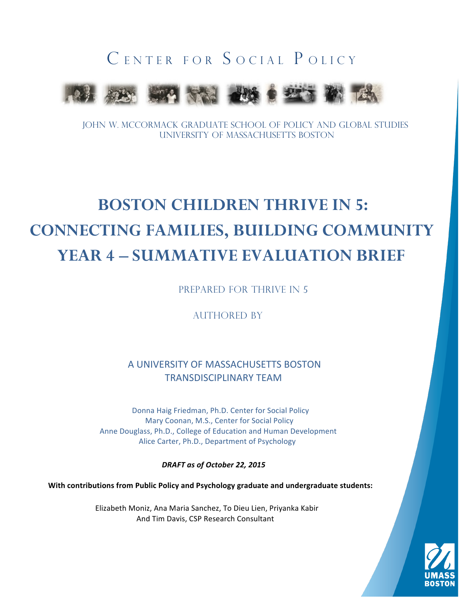## CENTER FOR SOCIAL POLICY



John W. McCormack Graduate School of Policy and Global Studies University of Massachusetts Boston

# **BOSTON CHILDREN THRIVE IN 5: CONNECTING FAMILIES, BUILDING COMMUNITY YEAR 4 – SUMMATIVE EVALUATION BRIEF**

PREPARED FOR THRIVE IN 5

AUTHORED BY

## A UNIVERSITY OF MASSACHUSETTS BOSTON TRANSDISCIPLINARY TEAM

Donna Haig Friedman, Ph.D. Center for Social Policy Mary Coonan, M.S., Center for Social Policy Anne Douglass, Ph.D., College of Education and Human Development Alice Carter, Ph.D., Department of Psychology

*DRAFT as of October 22, 2015*

With contributions from Public Policy and Psychology graduate and undergraduate students:

Elizabeth Moniz, Ana Maria Sanchez, To Dieu Lien, Priyanka Kabir And Tim Davis, CSP Research Consultant

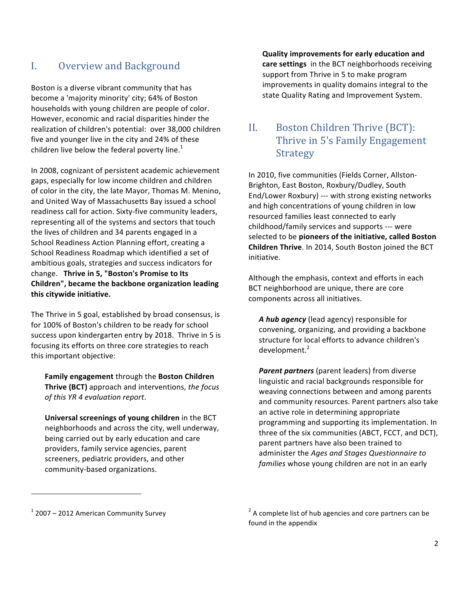## I. Overview and Background

Boston is a diverse vibrant community that has become a 'majority minority' city; 64% of Boston households with young children are people of color. However, economic and racial disparities hinder the realization of children's potential: over 38,000 children five and younger live in the city and 24% of these children live below the federal poverty line. $<sup>1</sup>$ </sup>

In 2008, cognizant of persistent academic achievement gaps, especially for low income children and children of color in the city, the late Mayor, Thomas M. Menino, and United Way of Massachusetts Bay issued a school readiness call for action. Sixty-five community leaders, representing all of the systems and sectors that touch the lives of children and 34 parents engaged in a School Readiness Action Planning effort, creating a School Readiness Roadmap which identified a set of ambitious goals, strategies and success indicators for change. Thrive in 5, "Boston's Promise to Its Children", became the backbone organization leading **this citywide initiative.**

The Thrive in 5 goal, established by broad consensus, is for 100% of Boston's children to be ready for school success upon kindergarten entry by 2018. Thrive in 5 is focusing its efforts on three core strategies to reach this important objective:

**Family engagement through the Boston Children Thrive (BCT)** approach and interventions, the focus *of this YR 4 evaluation report*.

**Universal screenings of young children** in the BCT neighborhoods and across the city, well underway, being carried out by early education and care providers, family service agencies, parent screeners, pediatric providers, and other community-based organizations.

**Quality improvements for early education and care settings** in the BCT neighborhoods receiving support from Thrive in 5 to make program improvements in quality domains integral to the state Quality Rating and Improvement System.

## II. Boston Children Thrive (BCT): Thrive in 5's Family Engagement Strategy

In 2010, five communities (Fields Corner, Allston-Brighton, East Boston, Roxbury/Dudley, South End/Lower Roxbury) --- with strong existing networks and high concentrations of young children in low resourced families least connected to early childhood/family services and supports --- were selected to be pioneers of the initiative, called Boston **Children Thrive**. In 2014, South Boston joined the BCT initiative.

Although the emphasis, context and efforts in each BCT neighborhood are unique, there are core components across all initiatives.

A hub agency (lead agency) responsible for convening, organizing, and providing a backbone structure for local efforts to advance children's development.<sup>2</sup>

**Parent partners** (parent leaders) from diverse linguistic and racial backgrounds responsible for weaving connections between and among parents and community resources. Parent partners also take an active role in determining appropriate programming and supporting its implementation. In three of the six communities (ABCT, FCCT, and DCT), parent partners have also been trained to administer the *Ages and Stages Questionnaire to* families whose young children are not in an early

 $1$  2007 – 2012 American Community Survey

 

 $2^2$  A complete list of hub agencies and core partners can be found in the appendix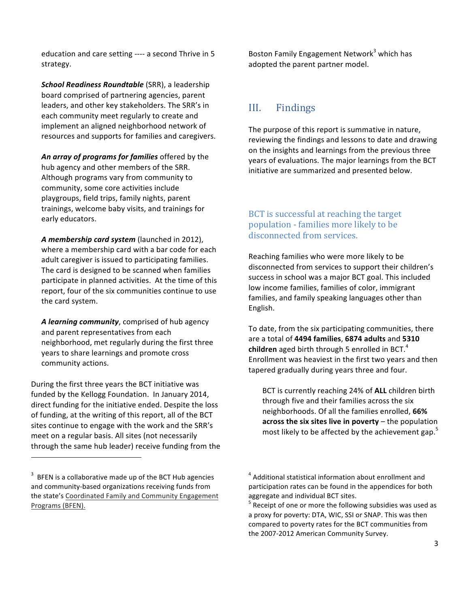education and care setting ---- a second Thrive in 5 strategy. 

**School Readiness Roundtable** (SRR), a leadership board comprised of partnering agencies, parent leaders, and other key stakeholders. The SRR's in each community meet regularly to create and implement an aligned neighborhood network of resources and supports for families and caregivers.

An array of programs for families offered by the hub agency and other members of the SRR. Although programs vary from community to community, some core activities include playgroups, field trips, family nights, parent trainings, welcome baby visits, and trainings for early educators.

A membership card system (launched in 2012), where a membership card with a bar code for each adult caregiver is issued to participating families. The card is designed to be scanned when families participate in planned activities. At the time of this report, four of the six communities continue to use the card system.

A *learning community*, comprised of hub agency and parent representatives from each neighborhood, met regularly during the first three years to share learnings and promote cross community actions.

During the first three years the BCT initiative was funded by the Kellogg Foundation. In January 2014, direct funding for the initiative ended. Despite the loss of funding, at the writing of this report, all of the BCT sites continue to engage with the work and the SRR's meet on a regular basis. All sites (not necessarily through the same hub leader) receive funding from the

 

Boston Family Engagement Network<sup>3</sup> which has adopted the parent partner model.

## III. Findings

The purpose of this report is summative in nature, reviewing the findings and lessons to date and drawing on the insights and learnings from the previous three years of evaluations. The major learnings from the BCT initiative are summarized and presented below.

#### BCT is successful at reaching the target population - families more likely to be disconnected from services.

Reaching families who were more likely to be disconnected from services to support their children's success in school was a major BCT goal. This included low income families, families of color, immigrant families, and family speaking languages other than English. 

To date, from the six participating communities, there are a total of 4494 families, 6874 adults and 5310 **children** aged birth through 5 enrolled in BCT.<sup>4</sup> Enrollment was heaviest in the first two years and then tapered gradually during years three and four.

BCT is currently reaching 24% of **ALL** children birth through five and their families across the six neighborhoods. Of all the families enrolled, **66% across the six sites live in poverty** – the population most likely to be affected by the achievement gap.<sup>5</sup>

 $3$  BFEN is a collaborative made up of the BCT Hub agencies and community-based organizations receiving funds from the state's Coordinated Family and Community Engagement Programs (BFEN).

 $4$  Additional statistical information about enrollment and participation rates can be found in the appendices for both aggregate and individual BCT sites.

 $5$  Receipt of one or more the following subsidies was used as a proxy for poverty: DTA, WIC, SSI or SNAP. This was then compared to poverty rates for the BCT communities from the 2007-2012 American Community Survey.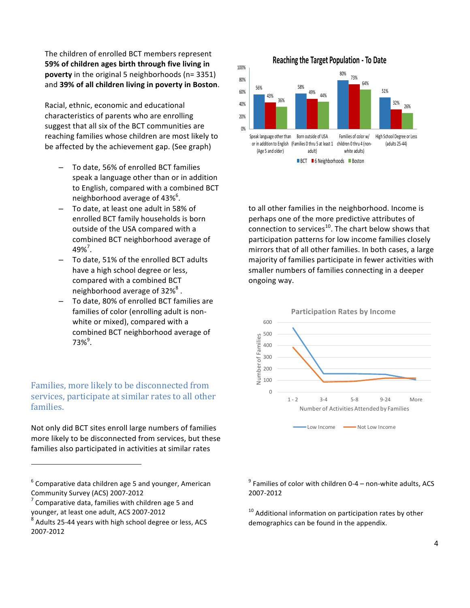The children of enrolled BCT members represent **59%** of children ages birth through five living in **poverty** in the original 5 neighborhoods (n= 3351) and 39% of all children living in poverty in Boston.

Racial, ethnic, economic and educational characteristics of parents who are enrolling suggest that all six of the BCT communities are reaching families whose children are most likely to be affected by the achievement gap. (See graph)

- To date, 56% of enrolled BCT families speak a language other than or in addition to English, compared with a combined BCT neighborhood average of 43% $^6$ .
- To date, at least one adult in 58% of enrolled BCT family households is born outside of the USA compared with a combined BCT neighborhood average of  $49\%$ <sup>7</sup>.
- To date, 51% of the enrolled BCT adults have a high school degree or less, compared with a combined BCT neighborhood average of  $32\%$ <sup>8</sup>.
- To date, 80% of enrolled BCT families are families of color (enrolling adult is nonwhite or mixed), compared with a combined BCT neighborhood average of  $73\%$ <sup>9</sup>.

#### Families, more likely to be disconnected from services, participate at similar rates to all other families.

Not only did BCT sites enroll large numbers of families more likely to be disconnected from services, but these families also participated in activities at similar rates

 

## 80% **Reaching the Target Population - To Date**

100%



to all other families in the neighborhood. Income is perhaps one of the more predictive attributes of connection to services<sup>10</sup>. The chart below shows that participation patterns for low income families closely mirrors that of all other families. In both cases, a large majority of families participate in fewer activities with smaller numbers of families connecting in a deeper ongoing way.



 $9$  Families of color with children 0-4 – non-white adults, ACS 2007-2012

 $^{10}$  Additional information on participation rates by other demographics can be found in the appendix.

 $6$  Comparative data children age 5 and younger, American Community Survey (ACS) 2007-2012

 $\frac{7}{2}$  Comparative data, families with children age 5 and younger, at least one adult, ACS 2007-2012

 $8$  Adults 25-44 years with high school degree or less, ACS 2007-2012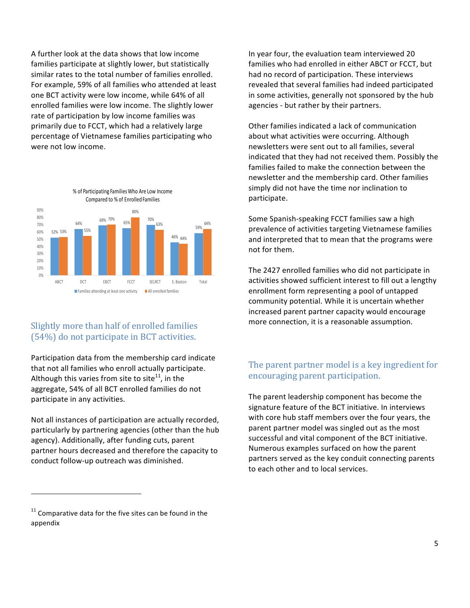A further look at the data shows that low income families participate at slightly lower, but statistically similar rates to the total number of families enrolled. For example, 59% of all families who attended at least one BCT activity were low income, while 64% of all enrolled families were low income. The slightly lower rate of participation by low income families was primarily due to FCCT, which had a relatively large percentage of Vietnamese families participating who were not low income.



#### Slightly more than half of enrolled families  $(54%)$  do not participate in BCT activities.

Participation data from the membership card indicate that not all families who enroll actually participate. Although this varies from site to site<sup>11</sup>, in the aggregate, 54% of all BCT enrolled families do not participate in any activities.

Not all instances of participation are actually recorded, particularly by partnering agencies (other than the hub agency). Additionally, after funding cuts, parent partner hours decreased and therefore the capacity to conduct follow-up outreach was diminished.

In year four, the evaluation team interviewed 20 families who had enrolled in either ABCT or FCCT, but had no record of participation. These interviews revealed that several families had indeed participated in some activities, generally not sponsored by the hub agencies - but rather by their partners.

Other families indicated a lack of communication about what activities were occurring. Although newsletters were sent out to all families, several indicated that they had not received them. Possibly the families failed to make the connection between the newsletter and the membership card. Other families simply did not have the time nor inclination to participate.

Some Spanish-speaking FCCT families saw a high prevalence of activities targeting Vietnamese families and interpreted that to mean that the programs were not for them.

The 2427 enrolled families who did not participate in activities showed sufficient interest to fill out a lengthy enrollment form representing a pool of untapped community potential. While it is uncertain whether increased parent partner capacity would encourage more connection, it is a reasonable assumption.

## The parent partner model is a key ingredient for encouraging parent participation.

The parent leadership component has become the signature feature of the BCT initiative. In interviews with core hub staff members over the four years, the parent partner model was singled out as the most successful and vital component of the BCT initiative. Numerous examples surfaced on how the parent partners served as the key conduit connecting parents to each other and to local services.

 

 $11$  Comparative data for the five sites can be found in the appendix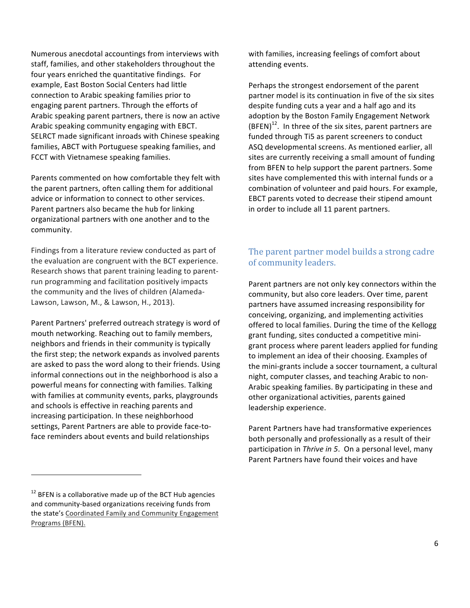Numerous anecdotal accountings from interviews with staff, families, and other stakeholders throughout the four years enriched the quantitative findings. For example, East Boston Social Centers had little connection to Arabic speaking families prior to engaging parent partners. Through the efforts of Arabic speaking parent partners, there is now an active Arabic speaking community engaging with EBCT. SELRCT made significant inroads with Chinese speaking families, ABCT with Portuguese speaking families, and FCCT with Vietnamese speaking families.

Parents commented on how comfortable they felt with the parent partners, often calling them for additional advice or information to connect to other services. Parent partners also became the hub for linking organizational partners with one another and to the community. 

Findings from a literature review conducted as part of the evaluation are congruent with the BCT experience. Research shows that parent training leading to parentrun programming and facilitation positively impacts the community and the lives of children (Alameda-Lawson, Lawson, M., & Lawson, H., 2013).

Parent Partners' preferred outreach strategy is word of mouth networking. Reaching out to family members, neighbors and friends in their community is typically the first step; the network expands as involved parents are asked to pass the word along to their friends. Using informal connections out in the neighborhood is also a powerful means for connecting with families. Talking with families at community events, parks, playgrounds and schools is effective in reaching parents and increasing participation. In these neighborhood settings, Parent Partners are able to provide face-toface reminders about events and build relationships

 

with families, increasing feelings of comfort about attending events.

Perhaps the strongest endorsement of the parent partner model is its continuation in five of the six sites despite funding cuts a year and a half ago and its adoption by the Boston Family Engagement Network  $(BFEN)^{12}$ . In three of the six sites, parent partners are funded through Ti5 as parent screeners to conduct ASQ developmental screens. As mentioned earlier, all sites are currently receiving a small amount of funding from BFEN to help support the parent partners. Some sites have complemented this with internal funds or a combination of volunteer and paid hours. For example, EBCT parents voted to decrease their stipend amount in order to include all 11 parent partners.

## The parent partner model builds a strong cadre of community leaders.

Parent partners are not only key connectors within the community, but also core leaders. Over time, parent partners have assumed increasing responsibility for conceiving, organizing, and implementing activities offered to local families. During the time of the Kellogg grant funding, sites conducted a competitive minigrant process where parent leaders applied for funding to implement an idea of their choosing. Examples of the mini-grants include a soccer tournament, a cultural night, computer classes, and teaching Arabic to non-Arabic speaking families. By participating in these and other organizational activities, parents gained leadership experience.

Parent Partners have had transformative experiences both personally and professionally as a result of their participation in *Thrive in* 5. On a personal level, many Parent Partners have found their voices and have

 $12$  BFEN is a collaborative made up of the BCT Hub agencies and community-based organizations receiving funds from the state's Coordinated Family and Community Engagement Programs (BFEN).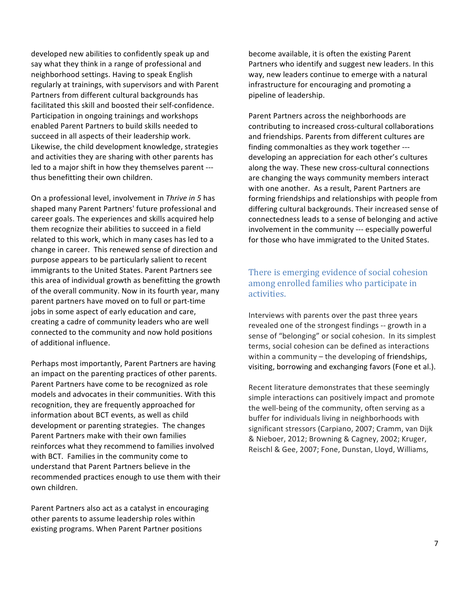developed new abilities to confidently speak up and say what they think in a range of professional and neighborhood settings. Having to speak English regularly at trainings, with supervisors and with Parent Partners from different cultural backgrounds has facilitated this skill and boosted their self-confidence. Participation in ongoing trainings and workshops enabled Parent Partners to build skills needed to succeed in all aspects of their leadership work. Likewise, the child development knowledge, strategies and activities they are sharing with other parents has led to a major shift in how they themselves parent --thus benefitting their own children.

On a professional level, involvement in *Thrive in* 5 has shaped many Parent Partners' future professional and career goals. The experiences and skills acquired help them recognize their abilities to succeed in a field related to this work, which in many cases has led to a change in career. This renewed sense of direction and purpose appears to be particularly salient to recent immigrants to the United States. Parent Partners see this area of individual growth as benefitting the growth of the overall community. Now in its fourth year, many parent partners have moved on to full or part-time jobs in some aspect of early education and care, creating a cadre of community leaders who are well connected to the community and now hold positions of additional influence.

Perhaps most importantly, Parent Partners are having an impact on the parenting practices of other parents. Parent Partners have come to be recognized as role models and advocates in their communities. With this recognition, they are frequently approached for information about BCT events, as well as child development or parenting strategies. The changes Parent Partners make with their own families reinforces what they recommend to families involved with BCT. Families in the community come to understand that Parent Partners believe in the recommended practices enough to use them with their own children. 

Parent Partners also act as a catalyst in encouraging other parents to assume leadership roles within existing programs. When Parent Partner positions

become available, it is often the existing Parent Partners who identify and suggest new leaders. In this way, new leaders continue to emerge with a natural infrastructure for encouraging and promoting a pipeline of leadership.

Parent Partners across the neighborhoods are contributing to increased cross-cultural collaborations and friendships. Parents from different cultures are finding commonalties as they work together --developing an appreciation for each other's cultures along the way. These new cross-cultural connections are changing the ways community members interact with one another. As a result, Parent Partners are forming friendships and relationships with people from differing cultural backgrounds. Their increased sense of connectedness leads to a sense of belonging and active involvement in the community --- especially powerful for those who have immigrated to the United States.

#### There is emerging evidence of social cohesion among enrolled families who participate in activities.

Interviews with parents over the past three years revealed one of the strongest findings -- growth in a sense of "belonging" or social cohesion. In its simplest terms, social cohesion can be defined as interactions within a community  $-$  the developing of friendships, visiting, borrowing and exchanging favors (Fone et al.).

Recent literature demonstrates that these seemingly simple interactions can positively impact and promote the well-being of the community, often serving as a buffer for individuals living in neighborhoods with significant stressors (Carpiano, 2007; Cramm, van Dijk & Nieboer, 2012; Browning & Cagney, 2002; Kruger, Reischl & Gee, 2007; Fone, Dunstan, Lloyd, Williams,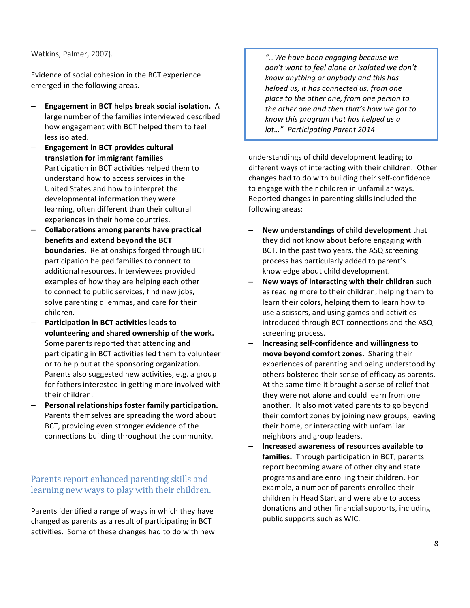#### Watkins, Palmer, 2007).

Evidence of social cohesion in the BCT experience emerged in the following areas.

- **Engagement in BCT helps break social isolation.** A large number of the families interviewed described how engagement with BCT helped them to feel less isolated.
- **Engagement in BCT provides cultural translation for immigrant families** Participation in BCT activities helped them to understand how to access services in the United States and how to interpret the developmental information they were learning, often different than their cultural experiences in their home countries.
- Collaborations among parents have practical **benefits and extend beyond the BCT boundaries.** Relationships forged through BCT participation helped families to connect to additional resources. Interviewees provided examples of how they are helping each other to connect to public services, find new jobs, solve parenting dilemmas, and care for their children.
- **Participation in BCT activities leads to** volunteering and shared ownership of the work. Some parents reported that attending and participating in BCT activities led them to volunteer or to help out at the sponsoring organization. Parents also suggested new activities, e.g. a group for fathers interested in getting more involved with their children.
- Personal relationships foster family participation. Parents themselves are spreading the word about BCT, providing even stronger evidence of the connections building throughout the community.

#### Parents report enhanced parenting skills and learning new ways to play with their children.

Parents identified a range of ways in which they have changed as parents as a result of participating in BCT activities. Some of these changes had to do with new

*"…We have been engaging because we*  don't want to feel alone or isolated we don't *know anything or anybody and this has helped us, it has connected us, from one* place to the other one, from one person to the other one and then that's how we got to *know this program that has helped us a lot…" Participating Parent 2014*

understandings of child development leading to different ways of interacting with their children. Other changes had to do with building their self-confidence to engage with their children in unfamiliar ways. Reported changes in parenting skills included the following areas:

- **New understandings of child development** that they did not know about before engaging with BCT. In the past two years, the ASQ screening process has particularly added to parent's knowledge about child development.
- **New ways of interacting with their children** such as reading more to their children, helping them to learn their colors, helping them to learn how to use a scissors, and using games and activities introduced through BCT connections and the ASQ screening process.
- $-$  Increasing self-confidence and willingness to move beyond comfort zones. Sharing their experiences of parenting and being understood by others bolstered their sense of efficacy as parents. At the same time it brought a sense of relief that they were not alone and could learn from one another. It also motivated parents to go beyond their comfort zones by joining new groups, leaving their home, or interacting with unfamiliar neighbors and group leaders.
- **Increased awareness of resources available to families.** Through participation in BCT, parents report becoming aware of other city and state programs and are enrolling their children. For example, a number of parents enrolled their children in Head Start and were able to access donations and other financial supports, including public supports such as WIC.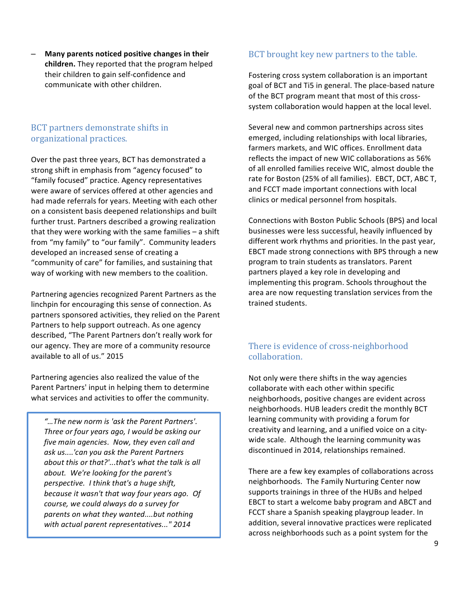Many parents noticed positive changes in their **children.** They reported that the program helped their children to gain self-confidence and communicate with other children.

#### BCT partners demonstrate shifts in organizational practices.

Over the past three years, BCT has demonstrated a strong shift in emphasis from "agency focused" to "family focused" practice. Agency representatives were aware of services offered at other agencies and had made referrals for years. Meeting with each other on a consistent basis deepened relationships and built further trust. Partners described a growing realization that they were working with the same families  $-$  a shift from "my family" to "our family". Community leaders developed an increased sense of creating a "community of care" for families, and sustaining that way of working with new members to the coalition.

Partnering agencies recognized Parent Partners as the linchpin for encouraging this sense of connection. As partners sponsored activities, they relied on the Parent Partners to help support outreach. As one agency described, "The Parent Partners don't really work for our agency. They are more of a community resource available to all of us." 2015

Partnering agencies also realized the value of the Parent Partners' input in helping them to determine what services and activities to offer the community.

*"…The new norm is 'ask the Parent Partners'.*  Three or four years ago, I would be asking our *five main agencies. Now, they even call and ask us....'can you ask the Parent Partners* about this or that?'...that's what the talk is all *about. We're looking for the parent's perspective.* I think that's a huge shift, *because it wasn't that way four years ago.* Of *course, we could always do a survey for*  parents on what they wanted....but nothing *with actual parent representatives..." 2014*

#### BCT brought key new partners to the table.

Fostering cross system collaboration is an important goal of BCT and Ti5 in general. The place-based nature of the BCT program meant that most of this crosssystem collaboration would happen at the local level.

Several new and common partnerships across sites emerged, including relationships with local libraries, farmers markets, and WIC offices. Enrollment data reflects the impact of new WIC collaborations as 56% of all enrolled families receive WIC, almost double the rate for Boston (25% of all families). EBCT, DCT, ABC T, and FCCT made important connections with local clinics or medical personnel from hospitals.

Connections with Boston Public Schools (BPS) and local businesses were less successful, heavily influenced by different work rhythms and priorities. In the past year, EBCT made strong connections with BPS through a new program to train students as translators. Parent partners played a key role in developing and implementing this program. Schools throughout the area are now requesting translation services from the trained students.

#### There is evidence of cross-neighborhood collaboration.

Not only were there shifts in the way agencies collaborate with each other within specific neighborhoods, positive changes are evident across neighborhoods. HUB leaders credit the monthly BCT learning community with providing a forum for creativity and learning, and a unified voice on a citywide scale. Although the learning community was discontinued in 2014, relationships remained.

There are a few key examples of collaborations across neighborhoods. The Family Nurturing Center now supports trainings in three of the HUBs and helped EBCT to start a welcome baby program and ABCT and FCCT share a Spanish speaking playgroup leader. In addition, several innovative practices were replicated across neighborhoods such as a point system for the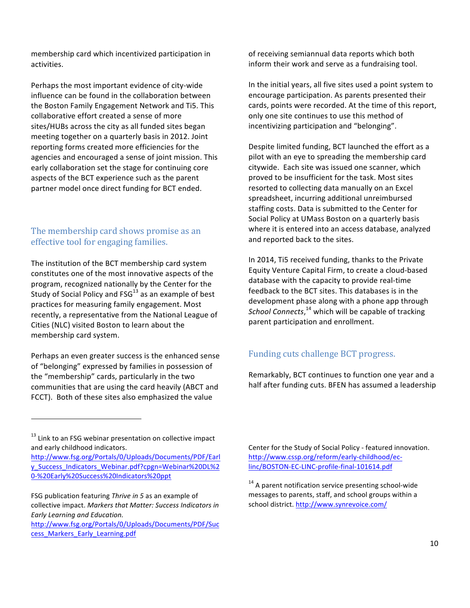membership card which incentivized participation in activities.

Perhaps the most important evidence of city-wide influence can be found in the collaboration between the Boston Family Engagement Network and Ti5. This collaborative effort created a sense of more sites/HUBs across the city as all funded sites began meeting together on a quarterly basis in 2012. Joint reporting forms created more efficiencies for the agencies and encouraged a sense of joint mission. This early collaboration set the stage for continuing core aspects of the BCT experience such as the parent partner model once direct funding for BCT ended.

#### The membership card shows promise as an effective tool for engaging families.

The institution of the BCT membership card system constitutes one of the most innovative aspects of the program, recognized nationally by the Center for the Study of Social Policy and  $FSG^{13}$  as an example of best practices for measuring family engagement. Most recently, a representative from the National League of Cities (NLC) visited Boston to learn about the membership card system.

Perhaps an even greater success is the enhanced sense of "belonging" expressed by families in possession of the "membership" cards, particularly in the two communities that are using the card heavily (ABCT and FCCT). Both of these sites also emphasized the value

 

of receiving semiannual data reports which both inform their work and serve as a fundraising tool.

In the initial years, all five sites used a point system to encourage participation. As parents presented their cards, points were recorded. At the time of this report, only one site continues to use this method of incentivizing participation and "belonging".

Despite limited funding, BCT launched the effort as a pilot with an eye to spreading the membership card citywide. Each site was issued one scanner, which proved to be insufficient for the task. Most sites resorted to collecting data manually on an Excel spreadsheet, incurring additional unreimbursed staffing costs. Data is submitted to the Center for Social Policy at UMass Boston on a quarterly basis where it is entered into an access database, analyzed and reported back to the sites.

In 2014, Ti5 received funding, thanks to the Private Equity Venture Capital Firm, to create a cloud-based database with the capacity to provide real-time feedback to the BCT sites. This databases is in the development phase along with a phone app through School Connects,<sup>14</sup> which will be capable of tracking parent participation and enrollment.

## Funding cuts challenge BCT progress.

Remarkably, BCT continues to function one year and a half after funding cuts. BFEN has assumed a leadership

Center for the Study of Social Policy - featured innovation. http://www.cssp.org/reform/early-childhood/eclinc/BOSTON-EC-LINC-profile-final-101614.pdf

 $14$  A parent notification service presenting school-wide messages to parents, staff, and school groups within a school district. http://www.synrevoice.com/

 $13$  Link to an FSG webinar presentation on collective impact and early childhood indicators.

http://www.fsg.org/Portals/0/Uploads/Documents/PDF/Earl y\_Success\_Indicators\_Webinar.pdf?cpgn=Webinar%20DL%2 0-%20Early%20Success%20Indicators%20ppt

FSG publication featuring *Thrive in* 5 as an example of collective impact. Markers that Matter: Success Indicators in *Early Learning and Education.*

http://www.fsg.org/Portals/0/Uploads/Documents/PDF/Suc cess\_Markers\_Early\_Learning.pdf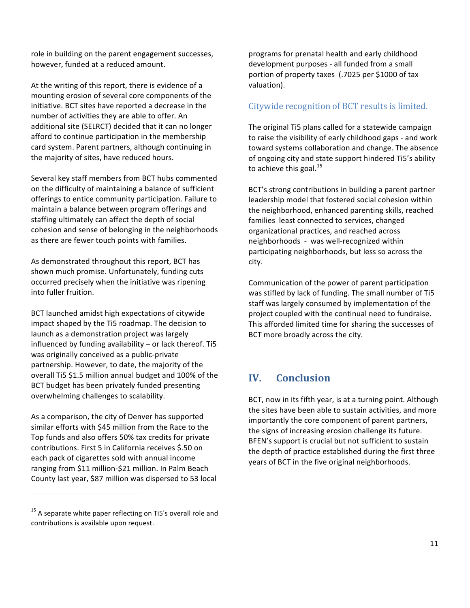role in building on the parent engagement successes, however, funded at a reduced amount.

At the writing of this report, there is evidence of a mounting erosion of several core components of the initiative. BCT sites have reported a decrease in the number of activities they are able to offer. An additional site (SELRCT) decided that it can no longer afford to continue participation in the membership card system. Parent partners, although continuing in the majority of sites, have reduced hours.

Several key staff members from BCT hubs commented on the difficulty of maintaining a balance of sufficient offerings to entice community participation. Failure to maintain a balance between program offerings and staffing ultimately can affect the depth of social cohesion and sense of belonging in the neighborhoods as there are fewer touch points with families.

As demonstrated throughout this report, BCT has shown much promise. Unfortunately, funding cuts occurred precisely when the initiative was ripening into fuller fruition.

BCT launched amidst high expectations of citywide impact shaped by the Ti5 roadmap. The decision to launch as a demonstration project was largely influenced by funding availability  $-$  or lack thereof. Ti5 was originally conceived as a public-private partnership. However, to date, the majority of the overall Ti5 \$1.5 million annual budget and 100% of the BCT budget has been privately funded presenting overwhelming challenges to scalability.

As a comparison, the city of Denver has supported similar efforts with \$45 million from the Race to the Top funds and also offers 50% tax credits for private contributions. First 5 in California receives \$.50 on each pack of cigarettes sold with annual income ranging from \$11 million-\$21 million. In Palm Beach County last year, \$87 million was dispersed to 53 local

 

programs for prenatal health and early childhood development purposes - all funded from a small portion of property taxes (.7025 per \$1000 of tax valuation).

#### Citywide recognition of BCT results is limited.

The original Ti5 plans called for a statewide campaign to raise the visibility of early childhood gaps - and work toward systems collaboration and change. The absence of ongoing city and state support hindered Ti5's ability to achieve this goal. $^{15}$ 

BCT's strong contributions in building a parent partner leadership model that fostered social cohesion within the neighborhood, enhanced parenting skills, reached families least connected to services, changed organizational practices, and reached across neighborhoods - was well-recognized within participating neighborhoods, but less so across the city.

Communication of the power of parent participation was stifled by lack of funding. The small number of Ti5 staff was largely consumed by implementation of the project coupled with the continual need to fundraise. This afforded limited time for sharing the successes of BCT more broadly across the city.

## **IV. Conclusion**

BCT, now in its fifth year, is at a turning point. Although the sites have been able to sustain activities, and more importantly the core component of parent partners, the signs of increasing erosion challenge its future. BFEN's support is crucial but not sufficient to sustain the depth of practice established during the first three years of BCT in the five original neighborhoods.

 $15$  A separate white paper reflecting on Ti5's overall role and contributions is available upon request.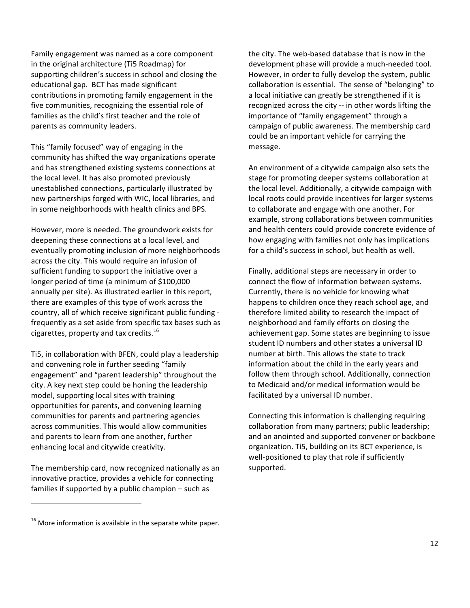Family engagement was named as a core component in the original architecture (Ti5 Roadmap) for supporting children's success in school and closing the educational gap. BCT has made significant contributions in promoting family engagement in the five communities, recognizing the essential role of families as the child's first teacher and the role of parents as community leaders.

This "family focused" way of engaging in the community has shifted the way organizations operate and has strengthened existing systems connections at the local level. It has also promoted previously unestablished connections, particularly illustrated by new partnerships forged with WIC, local libraries, and in some neighborhoods with health clinics and BPS.

However, more is needed. The groundwork exists for deepening these connections at a local level, and eventually promoting inclusion of more neighborhoods across the city. This would require an infusion of sufficient funding to support the initiative over a longer period of time (a minimum of \$100,000 annually per site). As illustrated earlier in this report, there are examples of this type of work across the country, all of which receive significant public funding frequently as a set aside from specific tax bases such as cigarettes, property and tax credits.<sup>16</sup>

Ti5, in collaboration with BFEN, could play a leadership and convening role in further seeding "family engagement" and "parent leadership" throughout the city. A key next step could be honing the leadership model, supporting local sites with training opportunities for parents, and convening learning communities for parents and partnering agencies across communities. This would allow communities and parents to learn from one another, further enhancing local and citywide creativity.

The membership card, now recognized nationally as an innovative practice, provides a vehicle for connecting families if supported by a public champion  $-$  such as

the city. The web-based database that is now in the development phase will provide a much-needed tool. However, in order to fully develop the system, public collaboration is essential. The sense of "belonging" to a local initiative can greatly be strengthened if it is recognized across the city -- in other words lifting the importance of "family engagement" through a campaign of public awareness. The membership card could be an important vehicle for carrying the message.

An environment of a citywide campaign also sets the stage for promoting deeper systems collaboration at the local level. Additionally, a citywide campaign with local roots could provide incentives for larger systems to collaborate and engage with one another. For example, strong collaborations between communities and health centers could provide concrete evidence of how engaging with families not only has implications for a child's success in school, but health as well.

Finally, additional steps are necessary in order to connect the flow of information between systems. Currently, there is no vehicle for knowing what happens to children once they reach school age, and therefore limited ability to research the impact of neighborhood and family efforts on closing the achievement gap. Some states are beginning to issue student ID numbers and other states a universal ID number at birth. This allows the state to track information about the child in the early years and follow them through school. Additionally, connection to Medicaid and/or medical information would be facilitated by a universal ID number.

Connecting this information is challenging requiring collaboration from many partners; public leadership; and an anointed and supported convener or backbone organization. Ti5, building on its BCT experience, is well-positioned to play that role if sufficiently supported.

 

 $16$  More information is available in the separate white paper.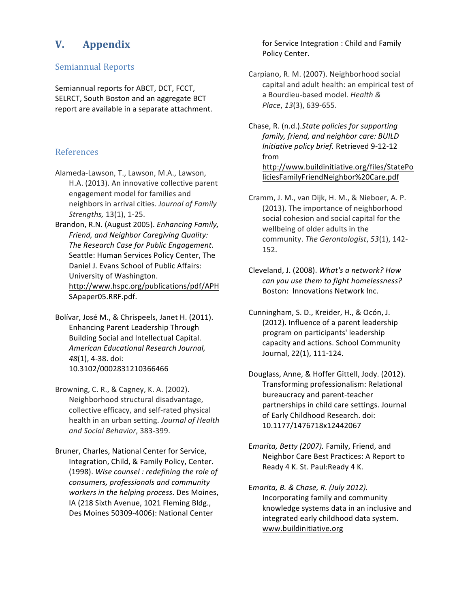## **V. Appendix**

#### Semiannual Reports

Semiannual reports for ABCT, DCT, FCCT, SELRCT, South Boston and an aggregate BCT report are available in a separate attachment.

#### References

- Alameda-Lawson, T., Lawson, M.A., Lawson, H.A. (2013). An innovative collective parent engagement model for families and neighbors in arrival cities. Journal of Family *Strengths,* 13(1), 1-25.
- Brandon, R.N. (August 2005). *Enhancing Family,* **Friend, and Neighbor Caregiving Quality:** The Research Case for Public Engagement. Seattle: Human Services Policy Center, The Daniel J. Evans School of Public Affairs: University of Washington. http://www.hspc.org/publications/pdf/APH SApaper05.RRF.pdf.
- Bolívar, José M., & Chrispeels, Janet H. (2011). Enhancing Parent Leadership Through Building Social and Intellectual Capital. *American Educational Research Journal,*  48(1), 4-38. doi: 10.3102/0002831210366466
- Browning, C. R., & Cagney, K. A. (2002). Neighborhood structural disadvantage, collective efficacy, and self-rated physical health in an urban setting. Journal of Health *and Social Behavior*, 383-399.
- Bruner, Charles, National Center for Service, Integration, Child, & Family Policy, Center. (1998). Wise counsel : redefining the role of *consumers, professionals and community*  workers in the helping process. Des Moines, IA (218 Sixth Avenue, 1021 Fleming Bldg., Des Moines 50309-4006): National Center

for Service Integration : Child and Family Policy Center.

Carpiano, R. M. (2007). Neighborhood social capital and adult health: an empirical test of a Bourdieu-based model. *Health & Place*, *13*(3), 639-655.

Chase, R. (n.d.).*State policies for supporting* family, friend, and neighbor care: **BUILD** *Initiative policy brief. Retrieved 9-12-12* from http://www.buildinitiative.org/files/StatePo liciesFamilyFriendNeighbor%20Care.pdf

- Cramm, J. M., van Dijk, H. M., & Nieboer, A. P. (2013). The importance of neighborhood social cohesion and social capital for the wellbeing of older adults in the community. The Gerontologist, 53(1), 142-152.
- Cleveland, J. (2008). What's a network? How *can you use them to fight homelessness?* Boston: Innovations Network Inc.
- Cunningham, S. D., Kreider, H., & Ocón, J. (2012). Influence of a parent leadership program on participants' leadership capacity and actions. School Community Journal, 22(1), 111-124.
- Douglass, Anne, & Hoffer Gittell, Jody. (2012). Transforming professionalism: Relational bureaucracy and parent-teacher partnerships in child care settings. Journal of Early Childhood Research. doi: 10.1177/1476718x12442067
- Emarita, Betty (2007). Family, Friend, and Neighbor Care Best Practices: A Report to Ready 4 K. St. Paul: Ready 4 K.
- Emarita, *B. & Chase, R. (July 2012).* Incorporating family and community knowledge systems data in an inclusive and integrated early childhood data system. www.buildinitiative.org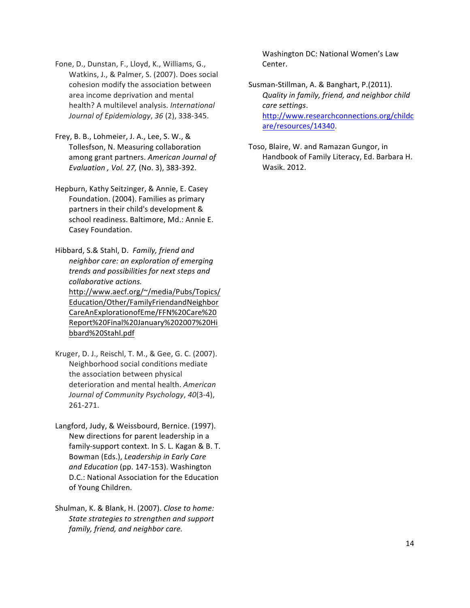Fone, D., Dunstan, F., Lloyd, K., Williams, G., Watkins, J., & Palmer, S. (2007). Does social cohesion modify the association between area income deprivation and mental health? A multilevel analysis. *International Journal of Epidemiology*, *36* (2), 338-345.

- Frey, B. B., Lohmeier, J. A., Lee, S. W., & Tollesfson, N. Measuring collaboration among grant partners. American Journal of *Evaluation , Vol. 27,* (No. 3), 383-392.
- Hepburn, Kathy Seitzinger, & Annie, E. Casey Foundation. (2004). Families as primary partners in their child's development & school readiness. Baltimore, Md.: Annie E. Casey Foundation.

Hibbard, S.& Stahl, D. Family, friend and *neighbor care: an exploration of emerging trends and possibilities for next steps and collaborative actions.*  http://www.aecf.org/~/media/Pubs/Topics/ Education/Other/FamilyFriendandNeighbor CareAnExplorationofEme/FFN%20Care%20 Report%20Final%20January%202007%20Hi bbard%20Stahl.pdf

- Kruger, D. J., Reischl, T. M., & Gee, G. C. (2007). Neighborhood social conditions mediate the association between physical deterioration and mental health. American *Journal of Community Psychology*, *40*(3-4), 261-271.
- Langford, Judy, & Weissbourd, Bernice. (1997). New directions for parent leadership in a family-support context. In S. L. Kagan & B. T. Bowman (Eds.), *Leadership in Early Care* and Education (pp. 147-153). Washington D.C.: National Association for the Education of Young Children.
- Shulman, K. & Blank, H. (2007). *Close to home:* State strategies to strengthen and support family, friend, and neighbor care.

Washington DC: National Women's Law Center.

Susman-Stillman, A. & Banghart, P.(2011). *Quality in family, friend, and neighbor child care settings*. http://www.researchconnections.org/childc are/resources/14340.

Toso, Blaire, W. and Ramazan Gungor, in Handbook of Family Literacy, Ed. Barbara H. Wasik. 2012.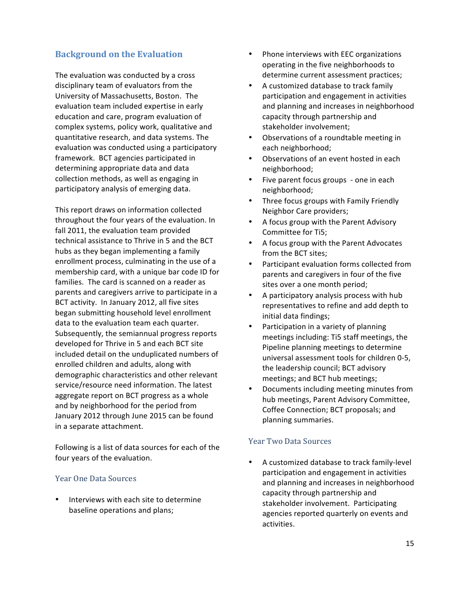#### **Background on the Evaluation**

The evaluation was conducted by a cross disciplinary team of evaluators from the University of Massachusetts, Boston. The evaluation team included expertise in early education and care, program evaluation of complex systems, policy work, qualitative and quantitative research, and data systems. The evaluation was conducted using a participatory framework. BCT agencies participated in determining appropriate data and data collection methods, as well as engaging in participatory analysis of emerging data.

This report draws on information collected throughout the four years of the evaluation. In fall 2011, the evaluation team provided technical assistance to Thrive in 5 and the BCT hubs as they began implementing a family enrollment process, culminating in the use of a membership card, with a unique bar code ID for families. The card is scanned on a reader as parents and caregivers arrive to participate in a BCT activity. In January 2012, all five sites began submitting household level enrollment data to the evaluation team each quarter. Subsequently, the semiannual progress reports developed for Thrive in 5 and each BCT site included detail on the unduplicated numbers of enrolled children and adults, along with demographic characteristics and other relevant service/resource need information. The latest aggregate report on BCT progress as a whole and by neighborhood for the period from January 2012 through June 2015 can be found in a separate attachment.

Following is a list of data sources for each of the four vears of the evaluation.

#### Year One Data Sources

Interviews with each site to determine baseline operations and plans;

- Phone interviews with EEC organizations operating in the five neighborhoods to determine current assessment practices;
- A customized database to track family participation and engagement in activities and planning and increases in neighborhood capacity through partnership and stakeholder involvement;
- Observations of a roundtable meeting in each neighborhood;
- Observations of an event hosted in each neighborhood;
- Five parent focus groups one in each neighborhood;
- Three focus groups with Family Friendly Neighbor Care providers;
- A focus group with the Parent Advisory Committee for Ti5;
- A focus group with the Parent Advocates from the BCT sites;
- Participant evaluation forms collected from parents and caregivers in four of the five sites over a one month period;
- A participatory analysis process with hub representatives to refine and add depth to initial data findings;
- Participation in a variety of planning meetings including: Ti5 staff meetings, the Pipeline planning meetings to determine universal assessment tools for children 0-5, the leadership council; BCT advisory meetings; and BCT hub meetings;
- Documents including meeting minutes from hub meetings, Parent Advisory Committee, Coffee Connection; BCT proposals; and planning summaries.

#### Year Two Data Sources

A customized database to track family-level participation and engagement in activities and planning and increases in neighborhood capacity through partnership and stakeholder involvement. Participating agencies reported quarterly on events and activities.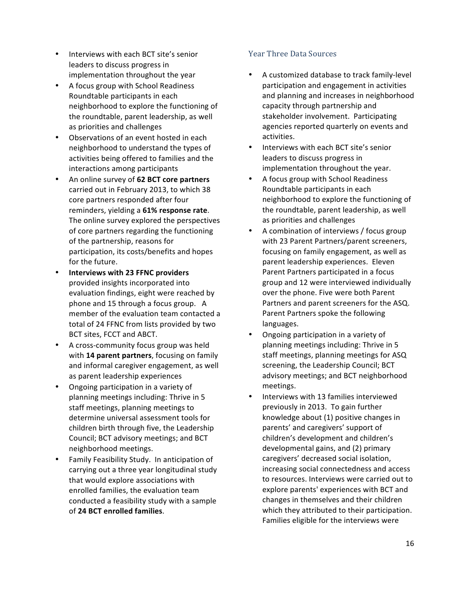- Interviews with each BCT site's senior leaders to discuss progress in implementation throughout the year
- A focus group with School Readiness Roundtable participants in each neighborhood to explore the functioning of the roundtable, parent leadership, as well as priorities and challenges
- Observations of an event hosted in each neighborhood to understand the types of activities being offered to families and the interactions among participants
- An online survey of **62 BCT core partners** carried out in February 2013, to which 38 core partners responded after four reminders, yielding a 61% response rate. The online survey explored the perspectives of core partners regarding the functioning of the partnership, reasons for participation, its costs/benefits and hopes for the future.
- **Interviews with 23 FFNC providers** provided insights incorporated into evaluation findings, eight were reached by phone and 15 through a focus group. A member of the evaluation team contacted a total of 24 FFNC from lists provided by two BCT sites, FCCT and ABCT.
- A cross-community focus group was held with 14 parent partners, focusing on family and informal caregiver engagement, as well as parent leadership experiences
- Ongoing participation in a variety of planning meetings including: Thrive in 5 staff meetings, planning meetings to determine universal assessment tools for children birth through five, the Leadership Council; BCT advisory meetings; and BCT neighborhood meetings.
- Family Feasibility Study. In anticipation of carrying out a three year longitudinal study that would explore associations with enrolled families, the evaluation team conducted a feasibility study with a sample of **24 BCT enrolled families**.

#### Year Three Data Sources

- A customized database to track family-level participation and engagement in activities and planning and increases in neighborhood capacity through partnership and stakeholder involvement. Participating agencies reported quarterly on events and activities.
- Interviews with each BCT site's senior leaders to discuss progress in implementation throughout the year.
- A focus group with School Readiness Roundtable participants in each neighborhood to explore the functioning of the roundtable, parent leadership, as well as priorities and challenges
- A combination of interviews / focus group with 23 Parent Partners/parent screeners, focusing on family engagement, as well as parent leadership experiences. Eleven Parent Partners participated in a focus group and 12 were interviewed individually over the phone. Five were both Parent Partners and parent screeners for the ASQ. Parent Partners spoke the following languages.
- Ongoing participation in a variety of planning meetings including: Thrive in 5 staff meetings, planning meetings for ASQ screening, the Leadership Council; BCT advisory meetings; and BCT neighborhood meetings.
- Interviews with 13 families interviewed previously in 2013. To gain further knowledge about (1) positive changes in parents' and caregivers' support of children's development and children's developmental gains, and (2) primary caregivers' decreased social isolation, increasing social connectedness and access to resources. Interviews were carried out to explore parents' experiences with BCT and changes in themselves and their children which they attributed to their participation. Families eligible for the interviews were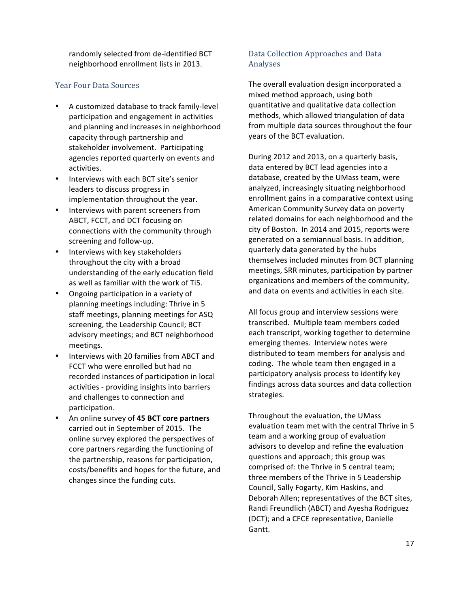randomly selected from de-identified BCT neighborhood enrollment lists in 2013.

#### Year Four Data Sources

- A customized database to track family-level participation and engagement in activities and planning and increases in neighborhood capacity through partnership and stakeholder involvement. Participating agencies reported quarterly on events and activities.
- Interviews with each BCT site's senior leaders to discuss progress in implementation throughout the year.
- Interviews with parent screeners from ABCT, FCCT, and DCT focusing on connections with the community through screening and follow-up.
- Interviews with key stakeholders throughout the city with a broad understanding of the early education field as well as familiar with the work of Ti5.
- Ongoing participation in a variety of planning meetings including: Thrive in 5 staff meetings, planning meetings for ASQ screening, the Leadership Council; BCT advisory meetings; and BCT neighborhood meetings.
- Interviews with 20 families from ABCT and FCCT who were enrolled but had no recorded instances of participation in local activities - providing insights into barriers and challenges to connection and participation.
- An online survey of 45 BCT core partners carried out in September of 2015. The online survey explored the perspectives of core partners regarding the functioning of the partnership, reasons for participation, costs/benefits and hopes for the future, and changes since the funding cuts.

#### Data Collection Approaches and Data Analyses

The overall evaluation design incorporated a mixed method approach, using both quantitative and qualitative data collection methods, which allowed triangulation of data from multiple data sources throughout the four years of the BCT evaluation.

During 2012 and 2013, on a quarterly basis, data entered by BCT lead agencies into a database, created by the UMass team, were analyzed, increasingly situating neighborhood enrollment gains in a comparative context using American Community Survey data on poverty related domains for each neighborhood and the city of Boston. In 2014 and 2015, reports were generated on a semiannual basis. In addition, quarterly data generated by the hubs themselves included minutes from BCT planning meetings, SRR minutes, participation by partner organizations and members of the community, and data on events and activities in each site.

All focus group and interview sessions were transcribed. Multiple team members coded each transcript, working together to determine emerging themes. Interview notes were distributed to team members for analysis and coding. The whole team then engaged in a participatory analysis process to identify key findings across data sources and data collection strategies. 

Throughout the evaluation, the UMass evaluation team met with the central Thrive in 5 team and a working group of evaluation advisors to develop and refine the evaluation questions and approach; this group was comprised of: the Thrive in 5 central team; three members of the Thrive in 5 Leadership Council, Sally Fogarty, Kim Haskins, and Deborah Allen; representatives of the BCT sites, Randi Freundlich (ABCT) and Ayesha Rodriguez (DCT); and a CFCE representative, Danielle Gantt.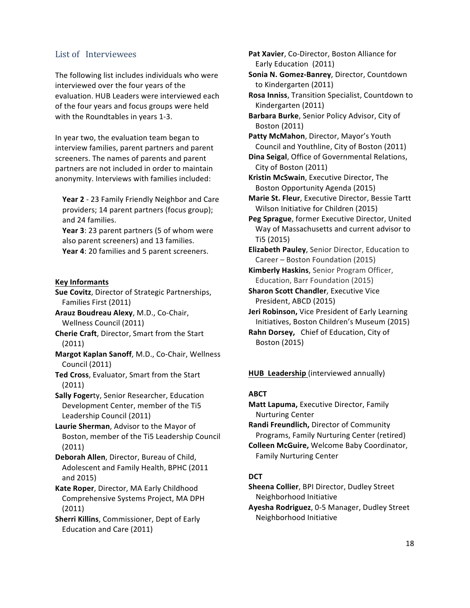#### List of Interviewees

The following list includes individuals who were interviewed over the four years of the evaluation. HUB Leaders were interviewed each of the four years and focus groups were held with the Roundtables in years 1-3.

In year two, the evaluation team began to interview families, parent partners and parent screeners. The names of parents and parent partners are not included in order to maintain anonymity. Interviews with families included:

Year 2 - 23 Family Friendly Neighbor and Care providers; 14 parent partners (focus group); and 24 families.

**Year 3:** 23 parent partners (5 of whom were also parent screeners) and 13 families. Year 4: 20 families and 5 parent screeners.

#### **Key Informants**

**Sue Covitz**, Director of Strategic Partnerships, Families First (2011)

**Arauz Boudreau Alexy, M.D., Co-Chair,** Wellness Council (2011)

**Cherie Craft**, Director, Smart from the Start (2011)

**Margot Kaplan Sanoff, M.D., Co-Chair, Wellness** Council (2011)

Ted Cross, Evaluator, Smart from the Start (2011)

**Sally Fogerty, Senior Researcher, Education** Development Center, member of the Ti5 Leadership Council (2011)

Laurie Sherman, Advisor to the Mayor of Boston, member of the Ti5 Leadership Council (2011)

**Deborah Allen, Director, Bureau of Child,** Adolescent and Family Health, BPHC (2011 and 2015)

**Kate Roper, Director, MA Early Childhood** Comprehensive Systems Project, MA DPH (2011)

**Sherri Killins**, Commissioner, Dept of Early Education and Care (2011)

Pat Xavier, Co-Director, Boston Alliance for Early Education (2011)

**Sonia N. Gomez-Banrey**, Director, Countdown to Kindergarten (2011)

**Rosa Inniss**, Transition Specialist, Countdown to Kindergarten (2011)

**Barbara Burke**, Senior Policy Advisor, City of Boston (2011)

Patty McMahon, Director, Mayor's Youth Council and Youthline, City of Boston (2011)

**Dina Seigal, Office of Governmental Relations,** City of Boston (2011)

**Kristin McSwain**, Executive Director, The Boston Opportunity Agenda (2015)

**Marie St. Fleur, Executive Director, Bessie Tartt** Wilson Initiative for Children (2015)

Peg Sprague, former Executive Director, United Way of Massachusetts and current advisor to Ti5 (2015)

**Elizabeth Pauley**, Senior Director, Education to Career – Boston Foundation (2015)

**Kimberly Haskins**, Senior Program Officer, Education, Barr Foundation (2015)

**Sharon Scott Chandler**, Executive Vice President, ABCD (2015)

**Jeri Robinson,** Vice President of Early Learning Initiatives, Boston Children's Museum (2015)

**Rahn Dorsey,** Chief of Education, City of Boston (2015)

**HUB** Leadership (interviewed annually)

#### **ABCT**

**Matt Lapuma, Executive Director, Family** Nurturing Center

**Randi Freundlich, Director of Community** Programs, Family Nurturing Center (retired) **Colleen McGuire, Welcome Baby Coordinator,** Family Nurturing Center

#### **DCT**

**Sheena Collier**, BPI Director, Dudley Street Neighborhood Initiative

Ayesha Rodriguez, 0-5 Manager, Dudley Street Neighborhood Initiative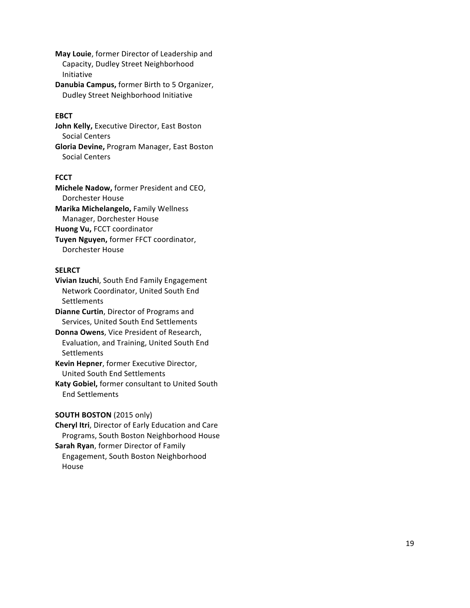**May Louie**, former Director of Leadership and Capacity, Dudley Street Neighborhood Initiative

**Danubia Campus, former Birth to 5 Organizer,** Dudley Street Neighborhood Initiative

#### **EBCT**

**John Kelly, Executive Director, East Boston** Social Centers **Gloria Devine, Program Manager, East Boston** Social Centers

#### **FCCT**

**Michele Nadow, former President and CEO,** Dorchester House **Marika Michelangelo, Family Wellness** Manager, Dorchester House **Huong Vu, FCCT coordinator Tuyen Nguyen, former FFCT coordinator,** Dorchester House

#### **SELRCT**

**Vivian Izuchi**, South End Family Engagement Network Coordinator, United South End **Settlements** 

**Dianne Curtin**, Director of Programs and Services, United South End Settlements

**Donna Owens**, Vice President of Research, Evaluation, and Training, United South End Settlements

**Kevin Hepner**, former Executive Director, United South End Settlements

Katy Gobiel, former consultant to United South End Settlements

#### **SOUTH BOSTON** (2015 only)

**Cheryl Itri**, Director of Early Education and Care Programs, South Boston Neighborhood House

**Sarah Ryan, former Director of Family** Engagement, South Boston Neighborhood House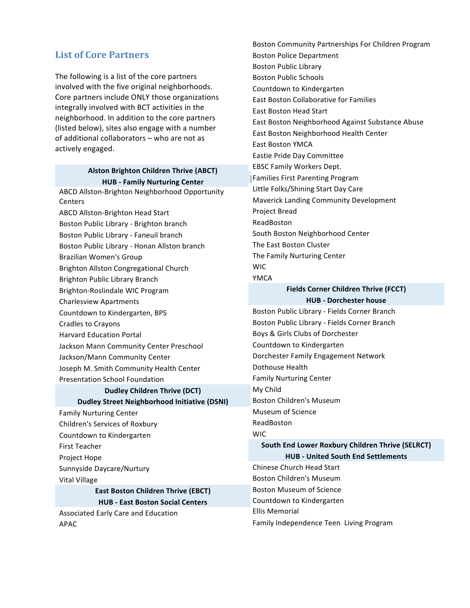#### **List of Core Partners**

The following is a list of the core partners involved with the five original neighborhoods. Core partners include ONLY those organizations integrally involved with BCT activities in the neighborhood. In addition to the core partners (listed below), sites also engage with a number of additional collaborators - who are not as actively engaged.

#### **Alston Brighton Children Thrive (ABCT) HUB - Family Nurturing Center**

ABCD Allston-Brighton Neighborhood Opportunity **Centers** 

ABCD Allston-Brighton Head Start Boston Public Library - Brighton branch Boston Public Library - Faneuil branch Boston Public Library - Honan Allston branch Brazilian Women's Group Brighton Allston Congregational Church Brighton Public Library Branch Brighton-Roslindale WIC Program Charlesview Apartments Countdown to Kindergarten, BPS Cradles to Crayons Harvard Education Portal Jackson Mann Community Center Preschool Jackson/Mann Community Center Joseph M. Smith Community Health Center Presentation School Foundation **Dudley Children Thrive (DCT) Dudley Street Neighborhood Initiative (DSNI)** Family Nurturing Center

Children's Services of Roxbury Countdown to Kindergarten First Teacher Project Hope Sunnyside Daycare/Nurtury Vital Village **East Boston Children Thrive (EBCT) HUB - East Boston Social Centers** Associated Early Care and Education

APAC

Boston Community Partnerships For Children Program Boston Police Department Boston Public Library Boston Public Schools Countdown to Kindergarten East Boston Collaborative for Families East Boston Head Start East Boston Neighborhood Against Substance Abuse East Boston Neighborhood Health Center East Boston YMCA Eastie Pride Day Committee EBSC Family Workers Dept. Families First Parenting Program Little Folks/Shining Start Day Care Maverick Landing Community Development Project Bread ReadBoston South Boston Neighborhood Center The East Boston Cluster The Family Nurturing Center WIC YMCA **Fields Corner Children Thrive (FCCT) HUB - Dorchester house**

Boston Public Library - Fields Corner Branch Boston Public Library - Fields Corner Branch Boys & Girls Clubs of Dorchester Countdown to Kindergarten Dorchester Family Engagement Network Dothouse Health Family Nurturing Center My Child Boston Children's Museum Museum of Science ReadBoston WIC **South End Lower Roxbury Children Thrive (SELRCT) HUB - United South End Settlements** Chinese Church Head Start Boston Children's Museum

Boston Museum of Science Countdown to Kindergarten Ellis Memorial

Family Independence Teen Living Program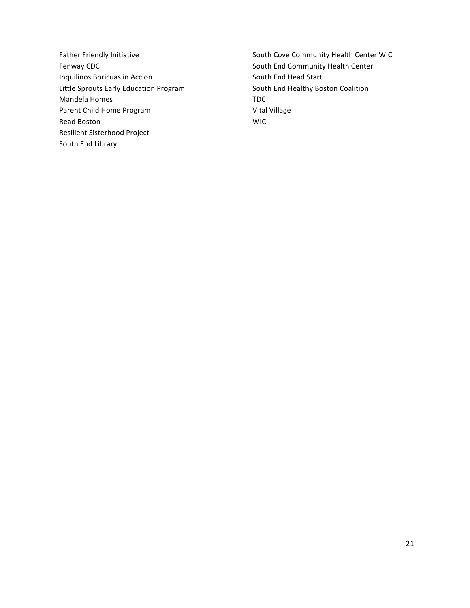Father Friendly Initiative Fenway CDC Inquilinos Boricuas in Accion Little Sprouts Early Education Program Mandela Homes Parent Child Home Program Read Boston Resilient Sisterhood Project South End Library

South Cove Community Health Center WIC South End Community Health Center South End Head Start South End Healthy Boston Coalition TDC Vital Village WIC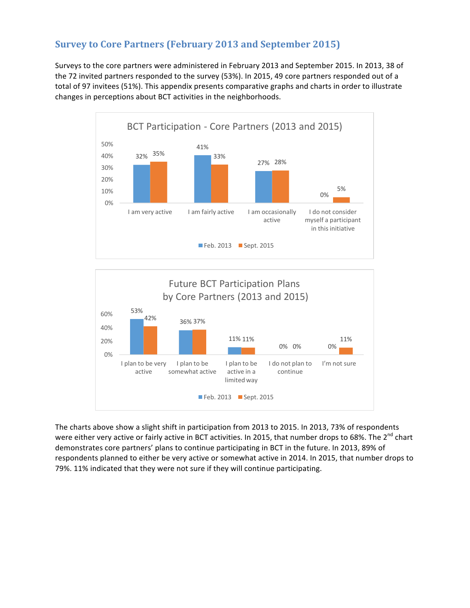## **Survey to Core Partners (February 2013 and September 2015)**

Surveys to the core partners were administered in February 2013 and September 2015. In 2013, 38 of the 72 invited partners responded to the survey (53%). In 2015, 49 core partners responded out of a total of 97 invitees (51%). This appendix presents comparative graphs and charts in order to illustrate changes in perceptions about BCT activities in the neighborhoods.





The charts above show a slight shift in participation from 2013 to 2015. In 2013, 73% of respondents were either very active or fairly active in BCT activities. In 2015, that number drops to 68%. The 2<sup>nd</sup> chart demonstrates core partners' plans to continue participating in BCT in the future. In 2013, 89% of respondents planned to either be very active or somewhat active in 2014. In 2015, that number drops to 79%. 11% indicated that they were not sure if they will continue participating.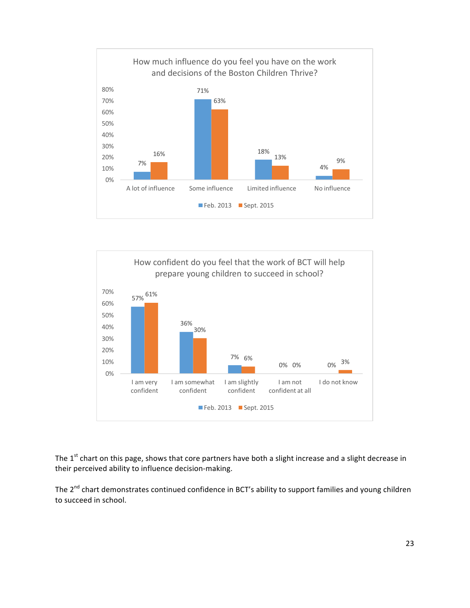



The  $1<sup>st</sup>$  chart on this page, shows that core partners have both a slight increase and a slight decrease in their perceived ability to influence decision-making.

The  $2^{nd}$  chart demonstrates continued confidence in BCT's ability to support families and young children to succeed in school.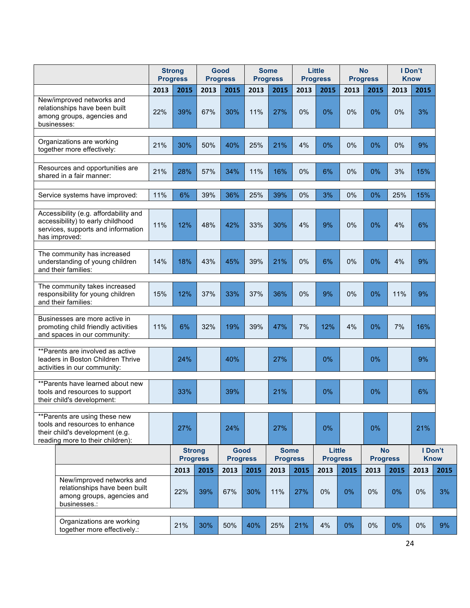|                                                                                                                                         | <b>Strong</b><br><b>Progress</b> |                                  | Good<br><b>Progress</b> |                         | <b>Some</b><br><b>Progress</b> |      | Little<br><b>Progress</b>      |       | <b>No</b><br><b>Progress</b>     |                              | I Don't<br><b>Know</b> |                        |      |
|-----------------------------------------------------------------------------------------------------------------------------------------|----------------------------------|----------------------------------|-------------------------|-------------------------|--------------------------------|------|--------------------------------|-------|----------------------------------|------------------------------|------------------------|------------------------|------|
|                                                                                                                                         | 2013                             | 2015                             | 2013                    | 2015                    | 2013                           | 2015 | 2013                           | 2015  | 2013                             | 2015                         | 2013                   | 2015                   |      |
| New/improved networks and<br>relationships have been built<br>among groups, agencies and<br>businesses:                                 | 22%                              | 39%                              | 67%                     | 30%                     | 11%                            | 27%  | 0%                             | 0%    | 0%                               | 0%                           | 0%                     | 3%                     |      |
| Organizations are working<br>together more effectively:                                                                                 | 21%                              | 30%                              | 50%                     | 40%                     | 25%                            | 21%  | 4%                             | 0%    | 0%                               | 0%                           | 0%                     | 9%                     |      |
| Resources and opportunities are<br>shared in a fair manner:                                                                             | 21%                              | 28%                              | 57%                     | 34%                     | 11%                            | 16%  | 0%                             | 6%    | 0%                               | 0%                           | 3%                     | 15%                    |      |
| Service systems have improved:                                                                                                          | 11%                              | 6%                               | 39%                     | 36%                     | 25%                            | 39%  | 0%                             | 3%    | 0%                               | 0%                           | 25%                    | 15%                    |      |
| Accessibility (e.g. affordability and<br>accessibility) to early childhood<br>services, supports and information<br>has improved:       | 11%                              | 12%                              | 48%                     | 42%                     | 33%                            | 30%  | 4%                             | 9%    | 0%                               | 0%                           | 4%                     | 6%                     |      |
| The community has increased<br>understanding of young children<br>and their families:                                                   | 14%                              | 18%                              | 43%                     | 45%                     | 39%                            | 21%  | 0%                             | 6%    | 0%                               | 0%                           | 4%                     | 9%                     |      |
| The community takes increased<br>responsibility for young children<br>and their families:                                               | 15%                              | 12%                              | 37%                     | 33%                     | 37%                            | 36%  | 0%                             | 9%    | 0%                               | 0%                           | 11%                    | 9%                     |      |
| Businesses are more active in<br>promoting child friendly activities<br>and spaces in our community:                                    | 11%                              | 6%                               | 32%                     | 19%                     | 39%                            | 47%  | 7%                             | 12%   | 4%                               | 0%                           | 7%                     | 16%                    |      |
| **Parents are involved as active<br>leaders in Boston Children Thrive<br>activities in our community:                                   |                                  | 24%                              |                         | 40%                     |                                | 27%  |                                | 0%    |                                  | 0%                           |                        | 9%                     |      |
| **Parents have learned about new<br>tools and resources to support<br>their child's development:                                        |                                  | 33%                              |                         | 39%                     |                                | 21%  |                                | 0%    |                                  | 0%                           |                        | 6%                     |      |
| ** Parents are using these new<br>tools and resources to enhance<br>their child's development (e.g.<br>reading more to their children): |                                  | 27%                              |                         | 24%                     |                                | 27%  |                                | $0\%$ |                                  | $0\%$                        |                        | 21%                    |      |
|                                                                                                                                         |                                  | <b>Strong</b><br><b>Progress</b> |                         | Good<br><b>Progress</b> |                                |      | <b>Some</b><br><b>Progress</b> |       | <b>Little</b><br><b>Progress</b> | <b>No</b><br><b>Progress</b> |                        | I Don't<br><b>Know</b> |      |
|                                                                                                                                         |                                  | 2013                             | 2015                    | 2013                    | 2015                           | 2013 | 2015                           | 2013  | 2015                             | 2013                         | 2015                   | 2013                   | 2015 |
| New/improved networks and<br>relationships have been built<br>among groups, agencies and<br>businesses.:                                |                                  | 22%                              | 39%                     | 67%                     | 30%                            | 11%  | 27%                            | 0%    | $0\%$                            | $0\%$                        | 0%                     | 0%                     | 3%   |
| Organizations are working<br>together more effectively.:                                                                                |                                  | 21%                              | 30%                     | 50%                     | 40%                            | 25%  | 21%                            | 4%    | $0\%$                            | $0\%$                        | $0\%$                  | $0\%$                  | 9%   |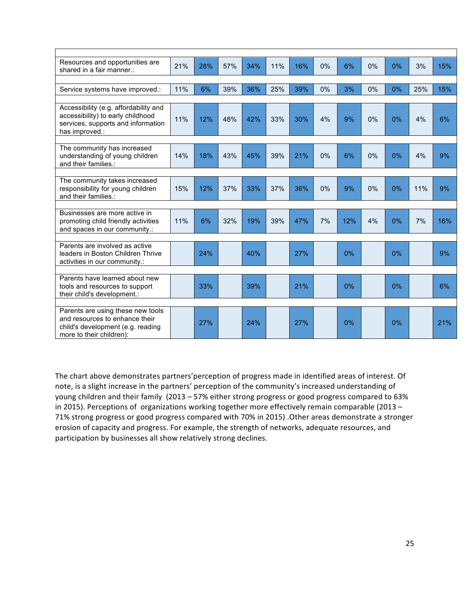| Resources and opportunities are<br>shared in a fair manner.:                                                                         | 21% | 28% | 57% | 34% | 11% | 16% | $0\%$ | 6%  | 0% | 0% | 3%  | 15% |
|--------------------------------------------------------------------------------------------------------------------------------------|-----|-----|-----|-----|-----|-----|-------|-----|----|----|-----|-----|
|                                                                                                                                      |     |     |     |     |     |     |       |     |    |    |     |     |
| Service systems have improved.:                                                                                                      | 11% | 6%  | 39% | 36% | 25% | 39% | 0%    | 3%  | 0% | 0% | 25% | 15% |
|                                                                                                                                      |     |     |     |     |     |     |       |     |    |    |     |     |
| Accessibility (e.g. affordability and<br>accessibility) to early childhood<br>services, supports and information<br>has improved.:   | 11% | 12% | 48% | 42% | 33% | 30% | 4%    | 9%  | 0% | 0% | 4%  | 6%  |
|                                                                                                                                      |     |     |     |     |     |     |       |     |    |    |     |     |
| The community has increased<br>understanding of young children<br>and their families.:                                               | 14% | 18% | 43% | 45% | 39% | 21% | 0%    | 6%  | 0% | 0% | 4%  | 9%  |
|                                                                                                                                      |     |     |     |     |     |     |       |     |    |    |     |     |
| The community takes increased<br>responsibility for young children<br>and their families.:                                           | 15% | 12% | 37% | 33% | 37% | 36% | 0%    | 9%  | 0% | 0% | 11% | 9%  |
|                                                                                                                                      |     |     |     |     |     |     |       |     |    |    |     |     |
| Businesses are more active in<br>promoting child friendly activities<br>and spaces in our community.:                                | 11% | 6%  | 32% | 19% | 39% | 47% | 7%    | 12% | 4% | 0% | 7%  | 16% |
|                                                                                                                                      |     |     |     |     |     |     |       |     |    |    |     |     |
| Parents are involved as active<br>leaders in Boston Children Thrive<br>activities in our community.:                                 |     | 24% |     | 40% |     | 27% |       | 0%  |    | 0% |     | 9%  |
|                                                                                                                                      |     |     |     |     |     |     |       |     |    |    |     |     |
| Parents have learned about new<br>tools and resources to support<br>their child's development.:                                      |     | 33% |     | 39% |     | 21% |       | 0%  |    | 0% |     | 6%  |
|                                                                                                                                      |     |     |     |     |     |     |       |     |    |    |     |     |
| Parents are using these new tools<br>and resources to enhance their<br>child's development (e.g. reading<br>more to their children): |     | 27% |     | 24% |     | 27% |       | 0%  |    | 0% |     | 21% |

The chart above demonstrates partners' perception of progress made in identified areas of interest. Of note, is a slight increase in the partners' perception of the community's increased understanding of young children and their family (2013 – 57% either strong progress or good progress compared to 63% in 2015). Perceptions of organizations working together more effectively remain comparable (2013 -71% strong progress or good progress compared with 70% in 2015) .Other areas demonstrate a stronger erosion of capacity and progress. For example, the strength of networks, adequate resources, and participation by businesses all show relatively strong declines.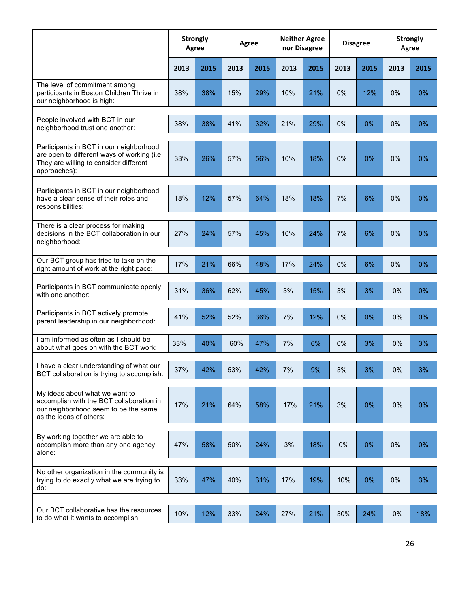|                                                                                                                                                  | <b>Strongly</b><br>Agree |      | Agree |      | <b>Neither Agree</b><br>nor Disagree |      | <b>Disagree</b> |      | <b>Strongly</b><br>Agree |       |
|--------------------------------------------------------------------------------------------------------------------------------------------------|--------------------------|------|-------|------|--------------------------------------|------|-----------------|------|--------------------------|-------|
|                                                                                                                                                  | 2013                     | 2015 | 2013  | 2015 | 2013                                 | 2015 | 2013            | 2015 | 2013                     | 2015  |
| The level of commitment among<br>participants in Boston Children Thrive in<br>our neighborhood is high:                                          | 38%                      | 38%  | 15%   | 29%  | 10%                                  | 21%  | 0%              | 12%  | 0%                       | 0%    |
| People involved with BCT in our<br>neighborhood trust one another:                                                                               | 38%                      | 38%  | 41%   | 32%  | 21%                                  | 29%  | 0%              | 0%   | 0%                       | 0%    |
| Participants in BCT in our neighborhood<br>are open to different ways of working (i.e.<br>They are willing to consider different<br>approaches): | 33%                      | 26%  | 57%   | 56%  | 10%                                  | 18%  | 0%              | 0%   | 0%                       | 0%    |
| Participants in BCT in our neighborhood<br>have a clear sense of their roles and<br>responsibilities:                                            | 18%                      | 12%  | 57%   | 64%  | 18%                                  | 18%  | 7%              | 6%   | 0%                       | 0%    |
| There is a clear process for making<br>decisions in the BCT collaboration in our<br>neighborhood:                                                | 27%                      | 24%  | 57%   | 45%  | 10%                                  | 24%  | 7%              | 6%   | 0%                       | 0%    |
| Our BCT group has tried to take on the<br>right amount of work at the right pace:                                                                | 17%                      | 21%  | 66%   | 48%  | 17%                                  | 24%  | 0%              | 6%   | 0%                       | 0%    |
| Participants in BCT communicate openly<br>with one another:                                                                                      | 31%                      | 36%  | 62%   | 45%  | 3%                                   | 15%  | 3%              | 3%   | $0\%$                    | 0%    |
| Participants in BCT actively promote<br>parent leadership in our neighborhood:                                                                   | 41%                      | 52%  | 52%   | 36%  | 7%                                   | 12%  | 0%              | 0%   | 0%                       | 0%    |
| I am informed as often as I should be<br>about what goes on with the BCT work:                                                                   | 33%                      | 40%  | 60%   | 47%  | 7%                                   | 6%   | 0%              | 3%   | 0%                       | 3%    |
| I have a clear understanding of what our<br>BCT collaboration is trying to accomplish:                                                           | 37%                      | 42%  | 53%   | 42%  | 7%                                   | 9%   | 3%              | 3%   | 0%                       | 3%    |
| My ideas about what we want to<br>accomplish with the BCT collaboration in<br>our neighborhood seem to be the same<br>as the ideas of others:    | 17%                      | 21%  | 64%   | 58%  | 17%                                  | 21%  | 3%              | 0%   | 0%                       | $0\%$ |
| By working together we are able to<br>accomplish more than any one agency<br>alone:                                                              | 47%                      | 58%  | 50%   | 24%  | 3%                                   | 18%  | 0%              | 0%   | 0%                       | 0%    |
| No other organization in the community is<br>trying to do exactly what we are trying to<br>do:                                                   | 33%                      | 47%  | 40%   | 31%  | 17%                                  | 19%  | 10%             | 0%   | 0%                       | 3%    |
|                                                                                                                                                  |                          |      |       |      |                                      |      |                 |      |                          |       |
| Our BCT collaborative has the resources<br>to do what it wants to accomplish:                                                                    | 10%                      | 12%  | 33%   | 24%  | 27%                                  | 21%  | 30%             | 24%  | $0\%$                    | 18%   |